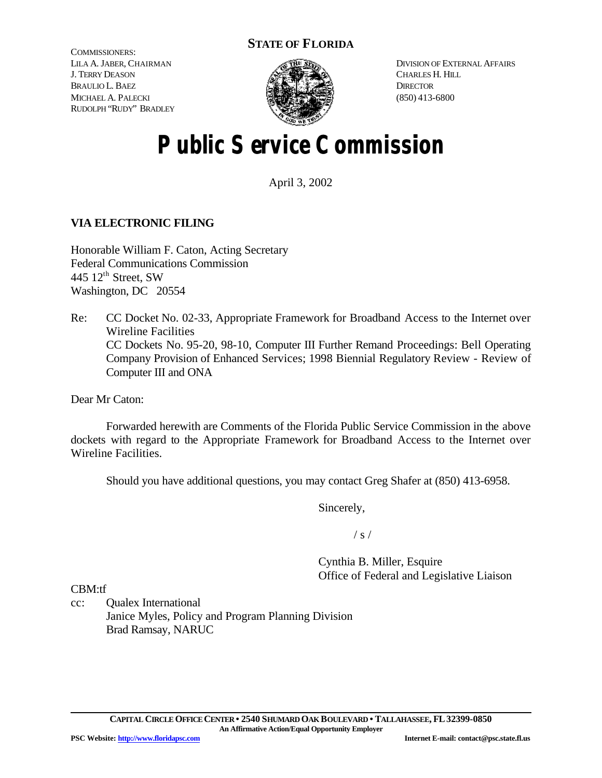# **STATE OF FLORIDA**

COMMISSIONERS: LILA A. JABER, CHAIRMAN J. TERRY DEASON BRAULIO L. BAEZ MICHAEL A. PALECKI RUDOLPH "RUDY" BRADLEY



DIVISION OF EXTERNAL AFFAIRS CHARLES H. HILL **DIRECTOR** (850) 413-6800

# **Public Service Commission**

April 3, 2002

# **VIA ELECTRONIC FILING**

Honorable William F. Caton, Acting Secretary Federal Communications Commission 445  $12<sup>th</sup>$  Street, SW Washington, DC 20554

Re: CC Docket No. 02-33, Appropriate Framework for Broadband Access to the Internet over Wireline Facilities CC Dockets No. 95-20, 98-10, Computer III Further Remand Proceedings: Bell Operating Company Provision of Enhanced Services; 1998 Biennial Regulatory Review - Review of Computer III and ONA

Dear Mr Caton:

Forwarded herewith are Comments of the Florida Public Service Commission in the above dockets with regard to the Appropriate Framework for Broadband Access to the Internet over Wireline Facilities.

Should you have additional questions, you may contact Greg Shafer at (850) 413-6958.

Sincerely,

 $/ s /$ 

Cynthia B. Miller, Esquire Office of Federal and Legislative Liaison

CBM:tf

cc: Qualex International Janice Myles, Policy and Program Planning Division Brad Ramsay, NARUC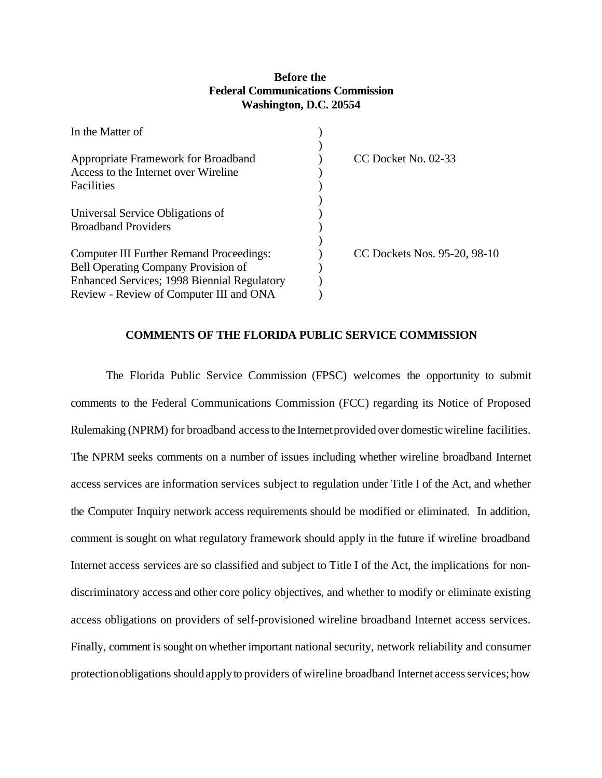# **Before the Federal Communications Commission Washington, D.C. 20554**

| In the Matter of                                    |                              |
|-----------------------------------------------------|------------------------------|
|                                                     |                              |
| Appropriate Framework for Broadband                 | CC Docket No. 02-33          |
| Access to the Internet over Wireline                |                              |
| Facilities                                          |                              |
| Universal Service Obligations of                    |                              |
| <b>Broadband Providers</b>                          |                              |
|                                                     |                              |
| <b>Computer III Further Remand Proceedings:</b>     | CC Dockets Nos. 95-20, 98-10 |
| <b>Bell Operating Company Provision of</b>          |                              |
| <b>Enhanced Services</b> ; 1998 Biennial Regulatory |                              |
| Review - Review of Computer III and ONA             |                              |

# **COMMENTS OF THE FLORIDA PUBLIC SERVICE COMMISSION**

The Florida Public Service Commission (FPSC) welcomes the opportunity to submit comments to the Federal Communications Commission (FCC) regarding its Notice of Proposed Rulemaking (NPRM) for broadband accessto the Internetprovided over domesticwireline facilities. The NPRM seeks comments on a number of issues including whether wireline broadband Internet access services are information services subject to regulation under Title I of the Act, and whether the Computer Inquiry network access requirements should be modified or eliminated. In addition, comment is sought on what regulatory framework should apply in the future if wireline broadband Internet access services are so classified and subject to Title I of the Act, the implications for nondiscriminatory access and other core policy objectives, and whether to modify or eliminate existing access obligations on providers of self-provisioned wireline broadband Internet access services. Finally, comment is sought on whether important national security, network reliability and consumer protection obligations should apply to providers of wireline broadband Internet access services; how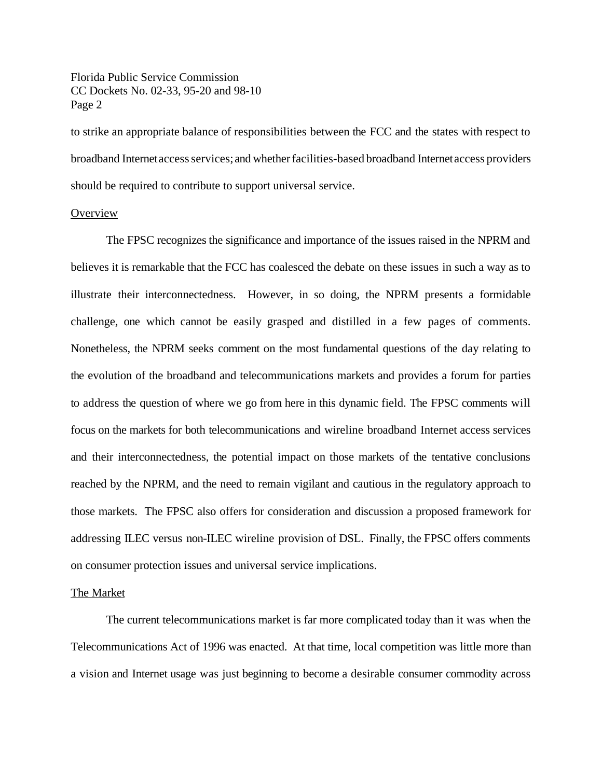to strike an appropriate balance of responsibilities between the FCC and the states with respect to broadband Internetaccessservices; and whetherfacilities-based broadband Internetaccess providers should be required to contribute to support universal service.

# **Overview**

The FPSC recognizes the significance and importance of the issues raised in the NPRM and believes it is remarkable that the FCC has coalesced the debate on these issues in such a way as to illustrate their interconnectedness. However, in so doing, the NPRM presents a formidable challenge, one which cannot be easily grasped and distilled in a few pages of comments. Nonetheless, the NPRM seeks comment on the most fundamental questions of the day relating to the evolution of the broadband and telecommunications markets and provides a forum for parties to address the question of where we go from here in this dynamic field. The FPSC comments will focus on the markets for both telecommunications and wireline broadband Internet access services and their interconnectedness, the potential impact on those markets of the tentative conclusions reached by the NPRM, and the need to remain vigilant and cautious in the regulatory approach to those markets. The FPSC also offers for consideration and discussion a proposed framework for addressing ILEC versus non-ILEC wireline provision of DSL. Finally, the FPSC offers comments on consumer protection issues and universal service implications.

# The Market

The current telecommunications market is far more complicated today than it was when the Telecommunications Act of 1996 was enacted. At that time, local competition was little more than a vision and Internet usage was just beginning to become a desirable consumer commodity across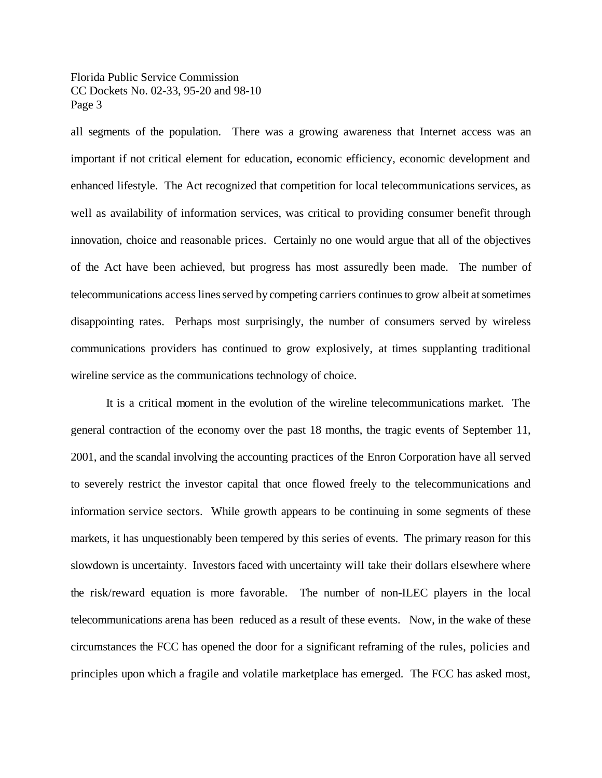all segments of the population. There was a growing awareness that Internet access was an important if not critical element for education, economic efficiency, economic development and enhanced lifestyle. The Act recognized that competition for local telecommunications services, as well as availability of information services, was critical to providing consumer benefit through innovation, choice and reasonable prices. Certainly no one would argue that all of the objectives of the Act have been achieved, but progress has most assuredly been made. The number of telecommunications access lines served by competing carriers continues to grow albeit at sometimes disappointing rates. Perhaps most surprisingly, the number of consumers served by wireless communications providers has continued to grow explosively, at times supplanting traditional wireline service as the communications technology of choice.

It is a critical moment in the evolution of the wireline telecommunications market. The general contraction of the economy over the past 18 months, the tragic events of September 11, 2001, and the scandal involving the accounting practices of the Enron Corporation have all served to severely restrict the investor capital that once flowed freely to the telecommunications and information service sectors. While growth appears to be continuing in some segments of these markets, it has unquestionably been tempered by this series of events. The primary reason for this slowdown is uncertainty. Investors faced with uncertainty will take their dollars elsewhere where the risk/reward equation is more favorable. The number of non-ILEC players in the local telecommunications arena has been reduced as a result of these events. Now, in the wake of these circumstances the FCC has opened the door for a significant reframing of the rules, policies and principles upon which a fragile and volatile marketplace has emerged. The FCC has asked most,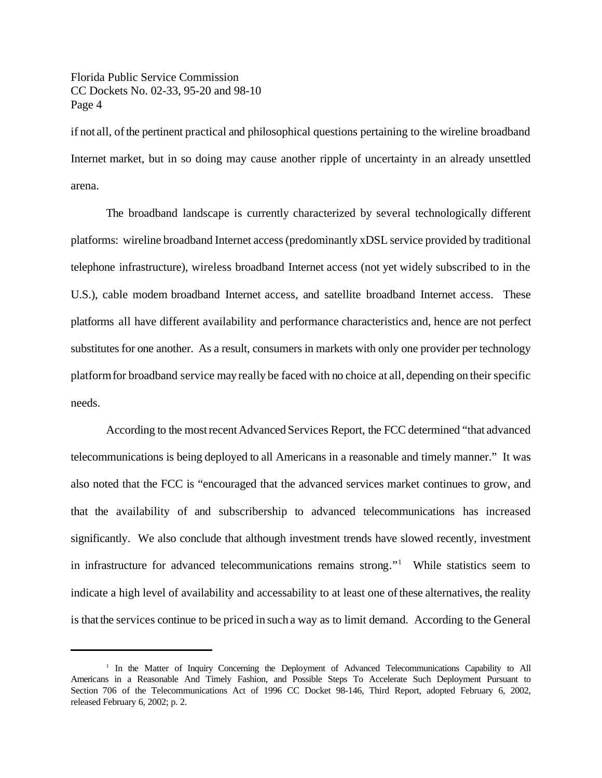if not all, ofthe pertinent practical and philosophical questions pertaining to the wireline broadband Internet market, but in so doing may cause another ripple of uncertainty in an already unsettled arena.

The broadband landscape is currently characterized by several technologically different platforms: wireline broadband Internet access (predominantly xDSL service provided by traditional telephone infrastructure), wireless broadband Internet access (not yet widely subscribed to in the U.S.), cable modem broadband Internet access, and satellite broadband Internet access. These platforms all have different availability and performance characteristics and, hence are not perfect substitutes for one another. As a result, consumers in markets with only one provider per technology platform for broadband service may really be faced with no choice at all, depending on their specific needs.

According to the mostrecentAdvanced Services Report, the FCC determined "that advanced telecommunications is being deployed to all Americans in a reasonable and timely manner." It was also noted that the FCC is "encouraged that the advanced services market continues to grow, and that the availability of and subscribership to advanced telecommunications has increased significantly. We also conclude that although investment trends have slowed recently, investment in infrastructure for advanced telecommunications remains strong."<sup>1</sup> While statistics seem to indicate a high level of availability and accessability to at least one ofthese alternatives, the reality is thatthe services continue to be priced in such a way as to limit demand. According to the General

<sup>&</sup>lt;sup>1</sup> In the Matter of Inquiry Concerning the Deployment of Advanced Telecommunications Capability to All Americans in a Reasonable And Timely Fashion, and Possible Steps To Accelerate Such Deployment Pursuant to Section 706 of the Telecommunications Act of 1996 CC Docket 98-146, Third Report, adopted February 6, 2002, released February 6, 2002; p. 2.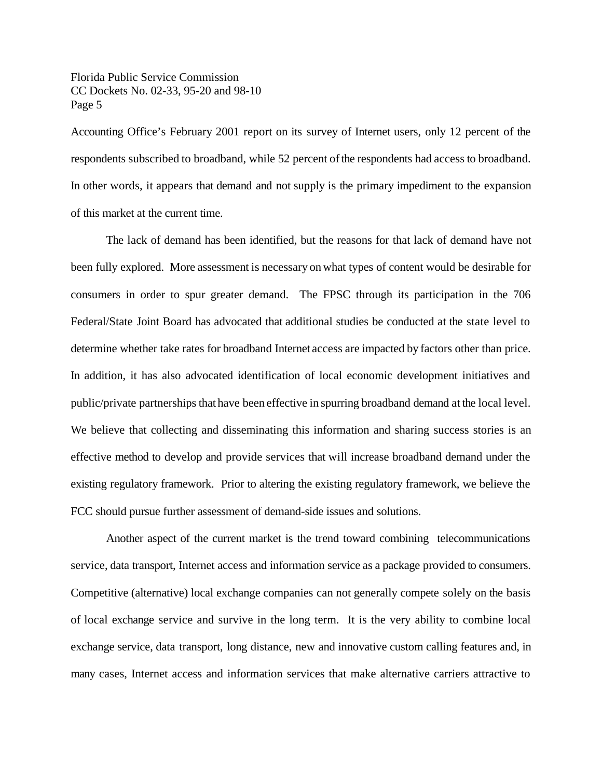Accounting Office's February 2001 report on its survey of Internet users, only 12 percent of the respondents subscribed to broadband, while 52 percent of the respondents had access to broadband. In other words, it appears that demand and not supply is the primary impediment to the expansion of this market at the current time.

The lack of demand has been identified, but the reasons for that lack of demand have not been fully explored. More assessment is necessary on what types of content would be desirable for consumers in order to spur greater demand. The FPSC through its participation in the 706 Federal/State Joint Board has advocated that additional studies be conducted at the state level to determine whether take rates for broadband Internet access are impacted by factors other than price. In addition, it has also advocated identification of local economic development initiatives and public/private partnerships that have been effective in spurring broadband demand at the local level. We believe that collecting and disseminating this information and sharing success stories is an effective method to develop and provide services that will increase broadband demand under the existing regulatory framework. Prior to altering the existing regulatory framework, we believe the FCC should pursue further assessment of demand-side issues and solutions.

Another aspect of the current market is the trend toward combining telecommunications service, data transport, Internet access and information service as a package provided to consumers. Competitive (alternative) local exchange companies can not generally compete solely on the basis of local exchange service and survive in the long term. It is the very ability to combine local exchange service, data transport, long distance, new and innovative custom calling features and, in many cases, Internet access and information services that make alternative carriers attractive to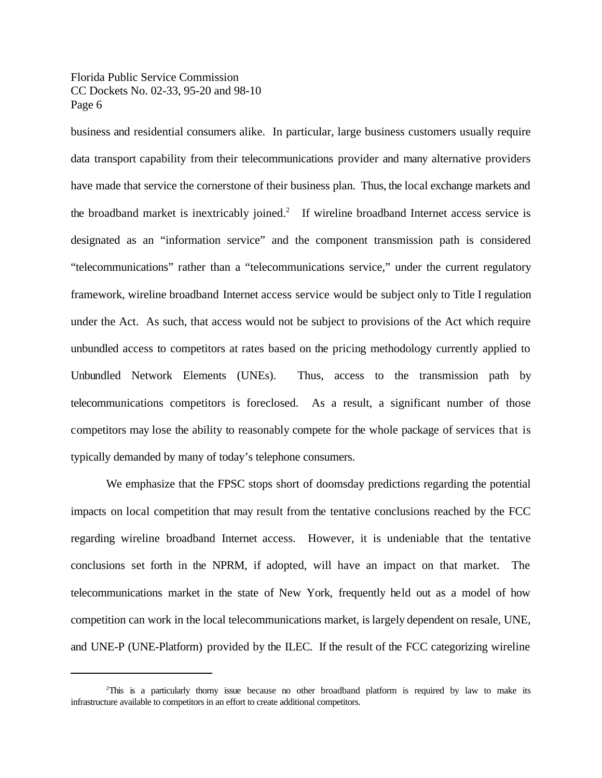business and residential consumers alike. In particular, large business customers usually require data transport capability from their telecommunications provider and many alternative providers have made that service the cornerstone of their business plan. Thus, the local exchange markets and the broadband market is inextricably joined.<sup>2</sup> If wireline broadband Internet access service is designated as an "information service" and the component transmission path is considered "telecommunications" rather than a "telecommunications service," under the current regulatory framework, wireline broadband Internet access service would be subject only to Title I regulation under the Act. As such, that access would not be subject to provisions of the Act which require unbundled access to competitors at rates based on the pricing methodology currently applied to Unbundled Network Elements (UNEs). Thus, access to the transmission path by telecommunications competitors is foreclosed. As a result, a significant number of those competitors may lose the ability to reasonably compete for the whole package of services that is typically demanded by many of today's telephone consumers.

We emphasize that the FPSC stops short of doomsday predictions regarding the potential impacts on local competition that may result from the tentative conclusions reached by the FCC regarding wireline broadband Internet access. However, it is undeniable that the tentative conclusions set forth in the NPRM, if adopted, will have an impact on that market. The telecommunications market in the state of New York, frequently held out as a model of how competition can work in the local telecommunications market, islargely dependent on resale, UNE, and UNE-P (UNE-Platform) provided by the ILEC. If the result of the FCC categorizing wireline

<sup>2</sup>This is a particularly thorny issue because no other broadband platform is required by law to make its infrastructure available to competitors in an effort to create additional competitors.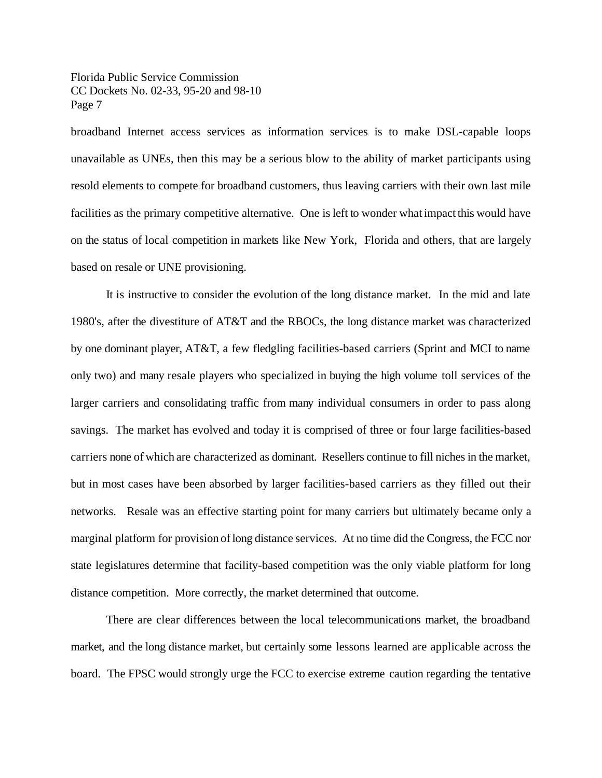broadband Internet access services as information services is to make DSL-capable loops unavailable as UNEs, then this may be a serious blow to the ability of market participants using resold elements to compete for broadband customers, thus leaving carriers with their own last mile facilities as the primary competitive alternative. One is left to wonder what impact this would have on the status of local competition in markets like New York, Florida and others, that are largely based on resale or UNE provisioning.

It is instructive to consider the evolution of the long distance market. In the mid and late 1980's, after the divestiture of AT&T and the RBOCs, the long distance market was characterized by one dominant player, AT&T, a few fledgling facilities-based carriers (Sprint and MCI to name only two) and many resale players who specialized in buying the high volume toll services of the larger carriers and consolidating traffic from many individual consumers in order to pass along savings. The market has evolved and today it is comprised of three or four large facilities-based carriers none of which are characterized as dominant. Resellers continue to fill niches in the market, but in most cases have been absorbed by larger facilities-based carriers as they filled out their networks. Resale was an effective starting point for many carriers but ultimately became only a marginal platform for provision of long distance services. At no time did the Congress, the FCC nor state legislatures determine that facility-based competition was the only viable platform for long distance competition. More correctly, the market determined that outcome.

There are clear differences between the local telecommunications market, the broadband market, and the long distance market, but certainly some lessons learned are applicable across the board. The FPSC would strongly urge the FCC to exercise extreme caution regarding the tentative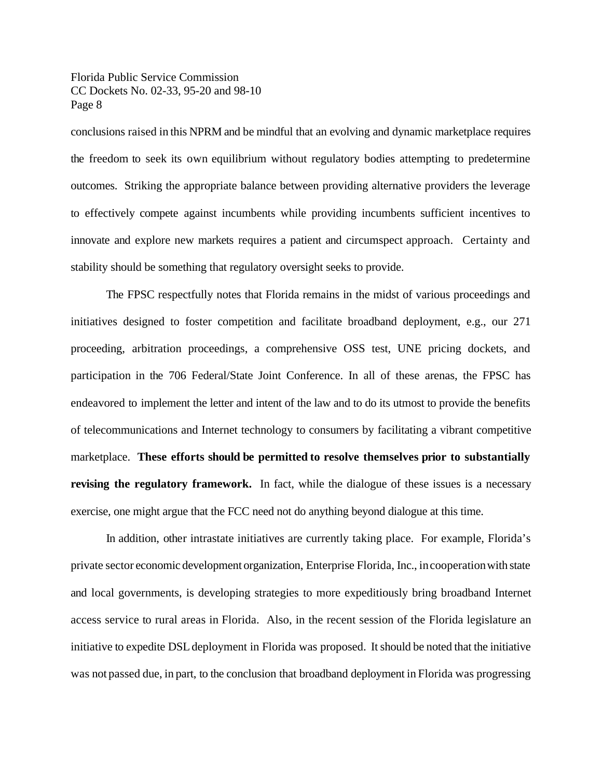conclusions raised in this NPRM and be mindful that an evolving and dynamic marketplace requires the freedom to seek its own equilibrium without regulatory bodies attempting to predetermine outcomes. Striking the appropriate balance between providing alternative providers the leverage to effectively compete against incumbents while providing incumbents sufficient incentives to innovate and explore new markets requires a patient and circumspect approach. Certainty and stability should be something that regulatory oversight seeks to provide.

The FPSC respectfully notes that Florida remains in the midst of various proceedings and initiatives designed to foster competition and facilitate broadband deployment, e.g., our 271 proceeding, arbitration proceedings, a comprehensive OSS test, UNE pricing dockets, and participation in the 706 Federal/State Joint Conference. In all of these arenas, the FPSC has endeavored to implement the letter and intent of the law and to do its utmost to provide the benefits of telecommunications and Internet technology to consumers by facilitating a vibrant competitive marketplace. **These efforts should be permitted to resolve themselves prior to substantially revising the regulatory framework.** In fact, while the dialogue of these issues is a necessary exercise, one might argue that the FCC need not do anything beyond dialogue at this time.

In addition, other intrastate initiatives are currently taking place. For example, Florida's private sector economic development organization, Enterprise Florida, Inc., incooperationwith state and local governments, is developing strategies to more expeditiously bring broadband Internet access service to rural areas in Florida. Also, in the recent session of the Florida legislature an initiative to expedite DSL deployment in Florida was proposed. It should be noted that the initiative was not passed due, in part, to the conclusion that broadband deployment in Florida was progressing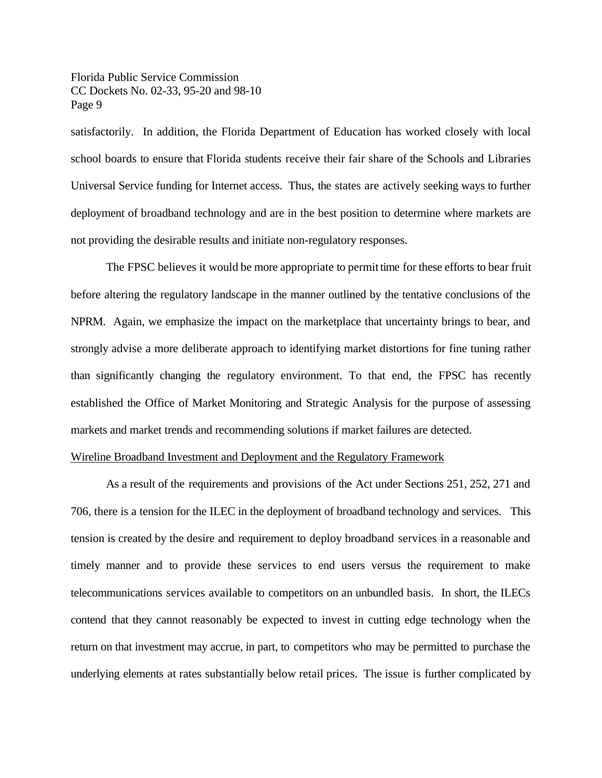satisfactorily. In addition, the Florida Department of Education has worked closely with local school boards to ensure that Florida students receive their fair share of the Schools and Libraries Universal Service funding for Internet access. Thus, the states are actively seeking ways to further deployment of broadband technology and are in the best position to determine where markets are not providing the desirable results and initiate non-regulatory responses.

The FPSC believes it would be more appropriate to permit time for these efforts to bear fruit before altering the regulatory landscape in the manner outlined by the tentative conclusions of the NPRM. Again, we emphasize the impact on the marketplace that uncertainty brings to bear, and strongly advise a more deliberate approach to identifying market distortions for fine tuning rather than significantly changing the regulatory environment. To that end, the FPSC has recently established the Office of Market Monitoring and Strategic Analysis for the purpose of assessing markets and market trends and recommending solutions if market failures are detected.

# Wireline Broadband Investment and Deployment and the Regulatory Framework

As a result of the requirements and provisions of the Act under Sections 251, 252, 271 and 706, there is a tension for the ILEC in the deployment of broadband technology and services. This tension is created by the desire and requirement to deploy broadband services in a reasonable and timely manner and to provide these services to end users versus the requirement to make telecommunications services available to competitors on an unbundled basis. In short, the ILECs contend that they cannot reasonably be expected to invest in cutting edge technology when the return on that investment may accrue, in part, to competitors who may be permitted to purchase the underlying elements at rates substantially below retail prices. The issue is further complicated by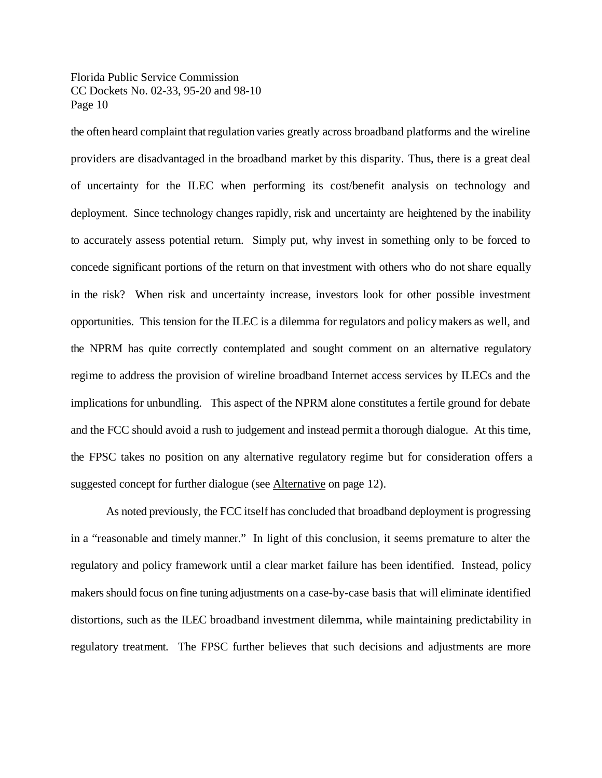the often heard complaint thatregulation varies greatly across broadband platforms and the wireline providers are disadvantaged in the broadband market by this disparity. Thus, there is a great deal of uncertainty for the ILEC when performing its cost/benefit analysis on technology and deployment. Since technology changes rapidly, risk and uncertainty are heightened by the inability to accurately assess potential return. Simply put, why invest in something only to be forced to concede significant portions of the return on that investment with others who do not share equally in the risk? When risk and uncertainty increase, investors look for other possible investment opportunities. This tension for the ILEC is a dilemma for regulators and policy makers as well, and the NPRM has quite correctly contemplated and sought comment on an alternative regulatory regime to address the provision of wireline broadband Internet access services by ILECs and the implications for unbundling. This aspect of the NPRM alone constitutes a fertile ground for debate and the FCC should avoid a rush to judgement and instead permit a thorough dialogue. At this time, the FPSC takes no position on any alternative regulatory regime but for consideration offers a suggested concept for further dialogue (see Alternative on page 12).

As noted previously, the FCC itself has concluded that broadband deployment is progressing in a "reasonable and timely manner." In light of this conclusion, it seems premature to alter the regulatory and policy framework until a clear market failure has been identified. Instead, policy makers should focus on fine tuning adjustments on a case-by-case basis that will eliminate identified distortions, such as the ILEC broadband investment dilemma, while maintaining predictability in regulatory treatment. The FPSC further believes that such decisions and adjustments are more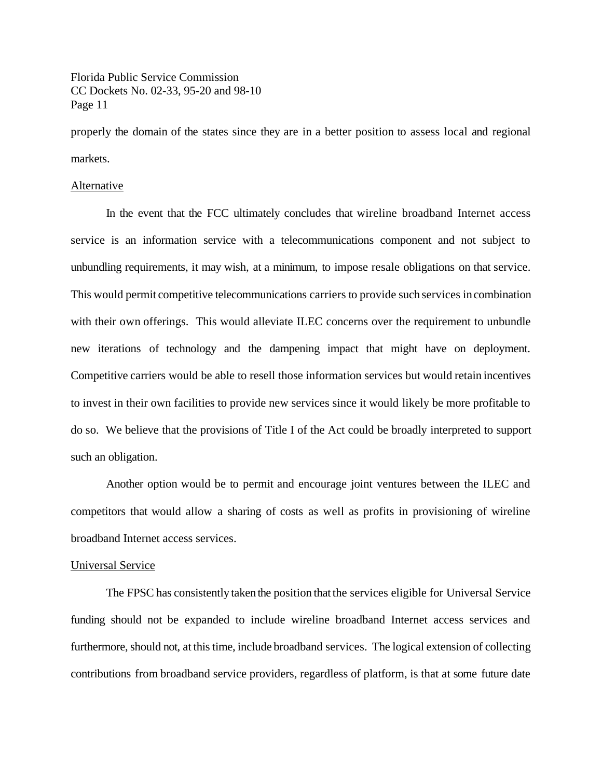properly the domain of the states since they are in a better position to assess local and regional markets.

# Alternative

In the event that the FCC ultimately concludes that wireline broadband Internet access service is an information service with a telecommunications component and not subject to unbundling requirements, it may wish, at a minimum, to impose resale obligations on that service. This would permit competitive telecommunications carriers to provide such services incombination with their own offerings. This would alleviate ILEC concerns over the requirement to unbundle new iterations of technology and the dampening impact that might have on deployment. Competitive carriers would be able to resell those information services but would retain incentives to invest in their own facilities to provide new services since it would likely be more profitable to do so. We believe that the provisions of Title I of the Act could be broadly interpreted to support such an obligation.

Another option would be to permit and encourage joint ventures between the ILEC and competitors that would allow a sharing of costs as well as profits in provisioning of wireline broadband Internet access services.

#### Universal Service

The FPSC has consistently taken the position that the services eligible for Universal Service funding should not be expanded to include wireline broadband Internet access services and furthermore, should not, at this time, include broadband services. The logical extension of collecting contributions from broadband service providers, regardless of platform, is that at some future date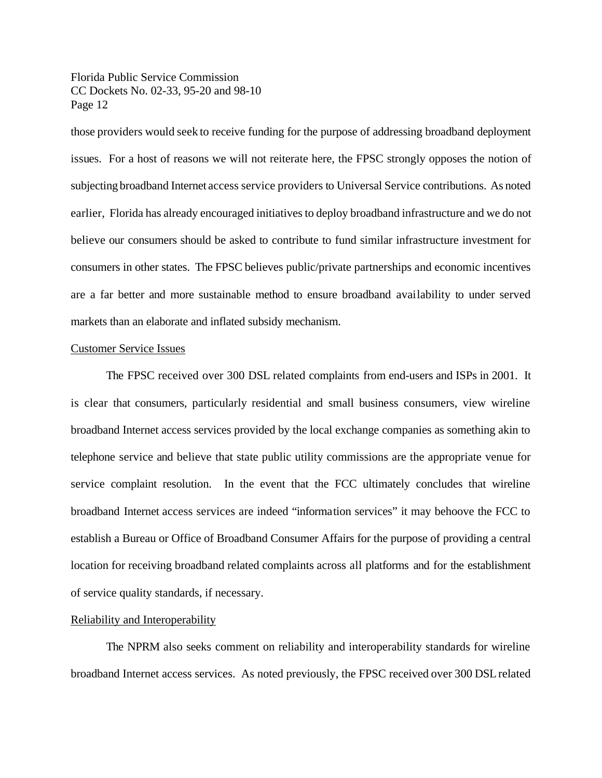those providers would seek to receive funding for the purpose of addressing broadband deployment issues. For a host of reasons we will not reiterate here, the FPSC strongly opposes the notion of subjecting broadband Internet access service providers to Universal Service contributions. As noted earlier, Florida has already encouraged initiatives to deploy broadband infrastructure and we do not believe our consumers should be asked to contribute to fund similar infrastructure investment for consumers in other states. The FPSC believes public/private partnerships and economic incentives are a far better and more sustainable method to ensure broadband availability to under served markets than an elaborate and inflated subsidy mechanism.

### Customer Service Issues

The FPSC received over 300 DSL related complaints from end-users and ISPs in 2001. It is clear that consumers, particularly residential and small business consumers, view wireline broadband Internet access services provided by the local exchange companies as something akin to telephone service and believe that state public utility commissions are the appropriate venue for service complaint resolution. In the event that the FCC ultimately concludes that wireline broadband Internet access services are indeed "information services" it may behoove the FCC to establish a Bureau or Office of Broadband Consumer Affairs for the purpose of providing a central location for receiving broadband related complaints across all platforms and for the establishment of service quality standards, if necessary.

# Reliability and Interoperability

The NPRM also seeks comment on reliability and interoperability standards for wireline broadband Internet access services. As noted previously, the FPSC received over 300 DSLrelated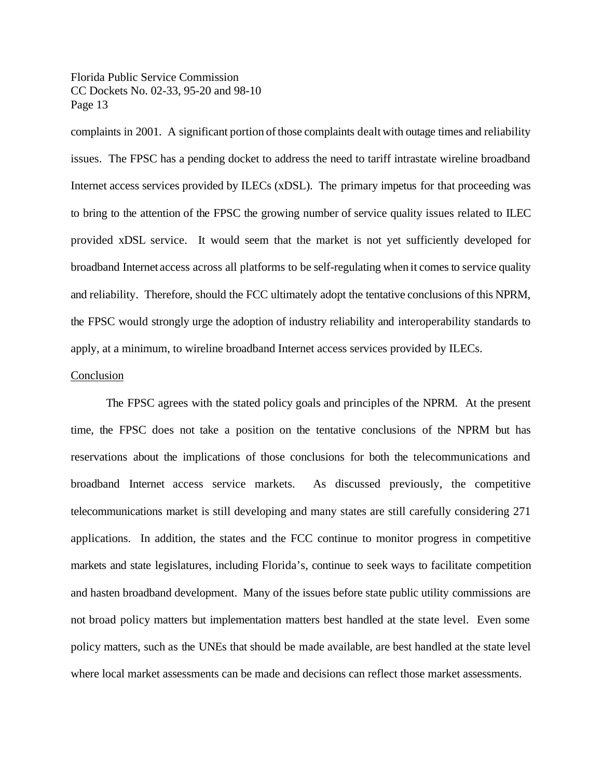complaints in 2001. A significant portion of those complaints dealt with outage times and reliability issues. The FPSC has a pending docket to address the need to tariff intrastate wireline broadband Internet access services provided by ILECs (xDSL). The primary impetus for that proceeding was to bring to the attention of the FPSC the growing number of service quality issues related to ILEC provided xDSL service. It would seem that the market is not yet sufficiently developed for broadband Internet access across all platforms to be self-regulating when it comes to service quality and reliability. Therefore, should the FCC ultimately adopt the tentative conclusions ofthis NPRM, the FPSC would strongly urge the adoption of industry reliability and interoperability standards to apply, at a minimum, to wireline broadband Internet access services provided by ILECs.

# Conclusion

The FPSC agrees with the stated policy goals and principles of the NPRM. At the present time, the FPSC does not take a position on the tentative conclusions of the NPRM but has reservations about the implications of those conclusions for both the telecommunications and broadband Internet access service markets. As discussed previously, the competitive telecommunications market is still developing and many states are still carefully considering 271 applications. In addition, the states and the FCC continue to monitor progress in competitive markets and state legislatures, including Florida's, continue to seek ways to facilitate competition and hasten broadband development. Many of the issues before state public utility commissions are not broad policy matters but implementation matters best handled at the state level. Even some policy matters, such as the UNEs that should be made available, are best handled at the state level where local market assessments can be made and decisions can reflect those market assessments.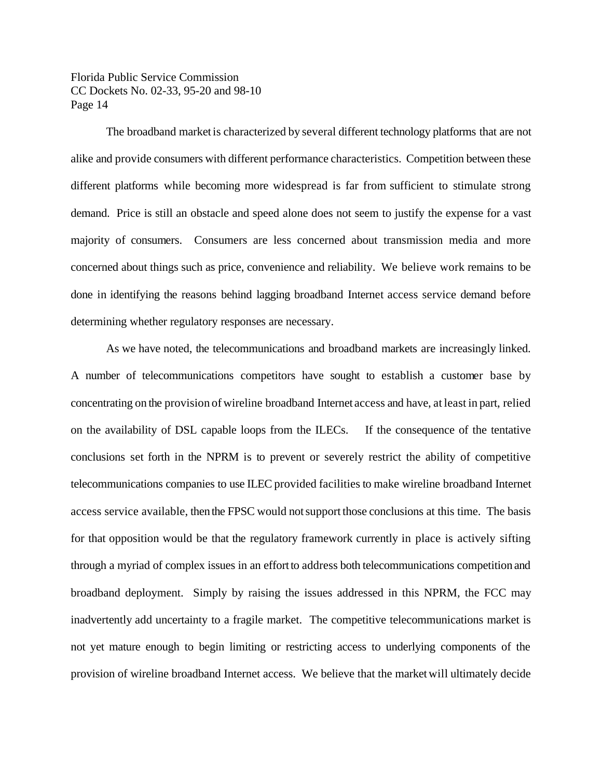The broadband market is characterized by several different technology platforms that are not alike and provide consumers with different performance characteristics. Competition between these different platforms while becoming more widespread is far from sufficient to stimulate strong demand. Price is still an obstacle and speed alone does not seem to justify the expense for a vast majority of consumers. Consumers are less concerned about transmission media and more concerned about things such as price, convenience and reliability. We believe work remains to be done in identifying the reasons behind lagging broadband Internet access service demand before determining whether regulatory responses are necessary.

As we have noted, the telecommunications and broadband markets are increasingly linked. A number of telecommunications competitors have sought to establish a customer base by concentrating on the provision of wireline broadband Internet access and have, at least in part, relied on the availability of DSL capable loops from the ILECs. If the consequence of the tentative conclusions set forth in the NPRM is to prevent or severely restrict the ability of competitive telecommunications companies to use ILEC provided facilities to make wireline broadband Internet access service available, then the FPSC would notsupport those conclusions at this time. The basis for that opposition would be that the regulatory framework currently in place is actively sifting through a myriad of complex issues in an effortto address both telecommunications competition and broadband deployment. Simply by raising the issues addressed in this NPRM, the FCC may inadvertently add uncertainty to a fragile market. The competitive telecommunications market is not yet mature enough to begin limiting or restricting access to underlying components of the provision of wireline broadband Internet access. We believe that the marketwill ultimately decide